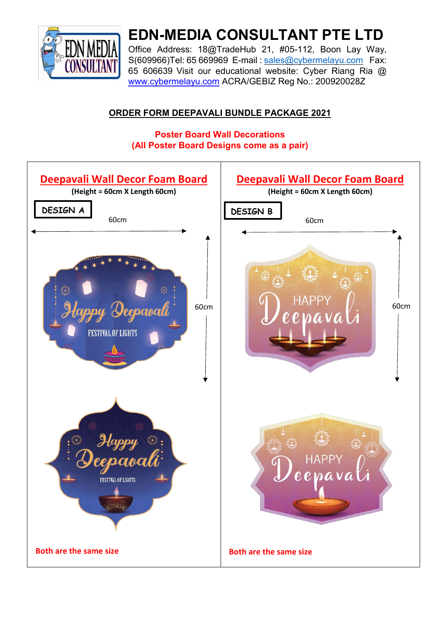

## **EDN-MEDIA CONSULTANT PTE LTD**

Office Address: 18@TradeHub 21, #05-112, Boon Lay Way, S(609966)Tel: 65 669969 E-mail : [sales@cybermelayu.com](mailto:sales@cybermelayu.com) Fax: 65 606639 Visit our educational website: Cyber Riang Ria @ [www.cybermelayu.com](http://www.cybermelayu.com/) [A](http://www.cybermelayu.com/)CRA/GEBIZ Reg No.: 200920028Z

#### **ORDER FORM DEEPAVALI BUNDLE PACKAGE 2021**

#### **Poster Board Wall Decorations (All Poster Board Designs come as a pair)**

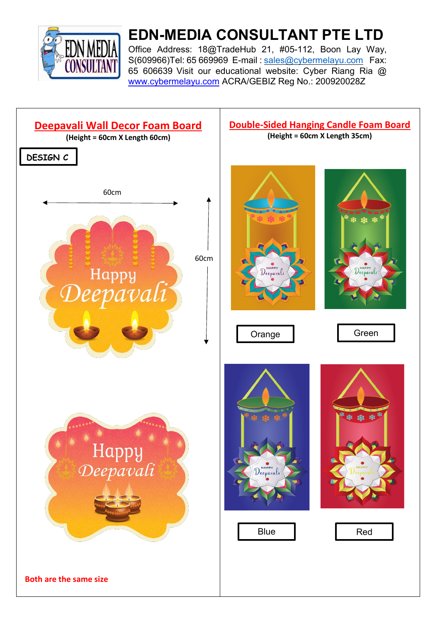

# **EDN-MEDIA CONSULTANT PTE LTD**

Office Address: 18@TradeHub 21, #05-112, Boon Lay Way, S(609966)Tel: 65 669969 E-mail : [sales@cybermelayu.com](mailto:sales@cybermelayu.com)  Fax: 65 606639 Visit our educational website: Cyber Riang Ria @ [www.cybermelayu.com](http://www.cybermelayu.com/) [A](http://www.cybermelayu.com/)CRA/GEBIZ Reg No.: 200920028Z